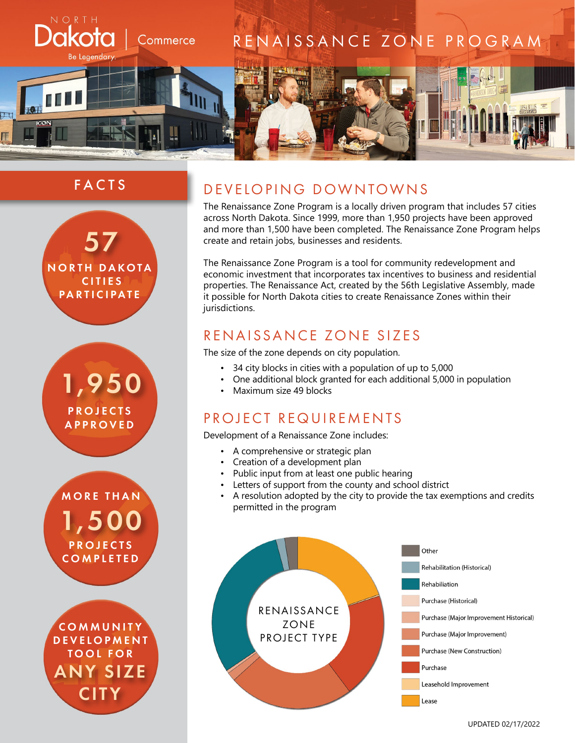

# FACTS



1,950 **PROJECTS** APPROVED

1,500 **PROJECTS COMPLETED** MORE THAN

ANY SIZE **CITY** COMMUNITY **DEVELOPMENT** TOOL FOR

## DEVELOPING DOWNTOWNS

The Renaissance Zone Program is a locally driven program that includes 57 cities across North Dakota. Since 1999, more than 1,950 projects have been approved and more than 1,500 have been completed. The Renaissance Zone Program helps create and retain jobs, businesses and residents.

The Renaissance Zone Program is a tool for community redevelopment and economic investment that incorporates tax incentives to business and residential properties. The Renaissance Act, created by the 56th Legislative Assembly, made it possible for North Dakota cities to create Renaissance Zones within their jurisdictions.

## RENAISSANCE ZONE SIZES

The size of the zone depends on city population.

- 34 city blocks in cities with a population of up to 5,000
- One additional block granted for each additional 5,000 in population
- Maximum size 49 blocks

## PROJECT REQUIREMENTS

Development of a Renaissance Zone includes:

- A comprehensive or strategic plan
- Creation of a development plan
- Public input from at least one public hearing
- Letters of support from the county and school district
- A resolution adopted by the city to provide the tax exemptions and credits permitted in the program